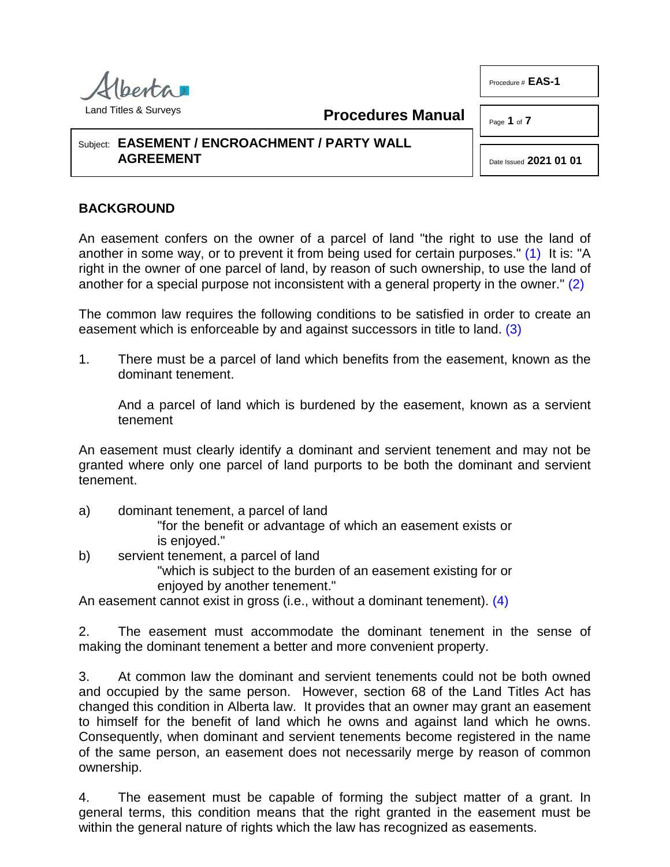

**Procedures Manual**

Page **1** of **7**

Procedure # **EAS-1**

## Subject: **EASEMENT / ENCROACHMENT / PARTY WALL AGREEMENT**

<span id="page-0-2"></span><span id="page-0-1"></span><span id="page-0-0"></span>Date Issued **2021 01 01**

# **BACKGROUND**

An easement confers on the owner of a parcel of land "the right to use the land of another in some way, or to prevent it from being used for certain purposes." [\(1\)](#page-5-0) It is: "A right in the owner of one parcel of land, by reason of such ownership, to use the land of another for a special purpose not inconsistent with a general property in the owner." [\(2\)](#page-5-1)

The common law requires the following conditions to be satisfied in order to create an easement which is enforceable by and against successors in title to land. [\(3\)](#page-5-2)

1. There must be a parcel of land which benefits from the easement, known as the dominant tenement.

And a parcel of land which is burdened by the easement, known as a servient tenement

An easement must clearly identify a dominant and servient tenement and may not be granted where only one parcel of land purports to be both the dominant and servient tenement.

a) dominant tenement, a parcel of land

"for the benefit or advantage of which an easement exists or is enjoyed."

b) servient tenement, a parcel of land

<span id="page-0-3"></span>"which is subject to the burden of an easement existing for or enjoyed by another tenement."

An easement cannot exist in gross (i.e., without a dominant tenement). [\(4\)](#page-5-3)

2. The easement must accommodate the dominant tenement in the sense of making the dominant tenement a better and more convenient property.

3. At common law the dominant and servient tenements could not be both owned and occupied by the same person. However, section 68 of the Land Titles Act has changed this condition in Alberta law. It provides that an owner may grant an easement to himself for the benefit of land which he owns and against land which he owns. Consequently, when dominant and servient tenements become registered in the name of the same person, an easement does not necessarily merge by reason of common ownership.

4. The easement must be capable of forming the subject matter of a grant. In general terms, this condition means that the right granted in the easement must be within the general nature of rights which the law has recognized as easements.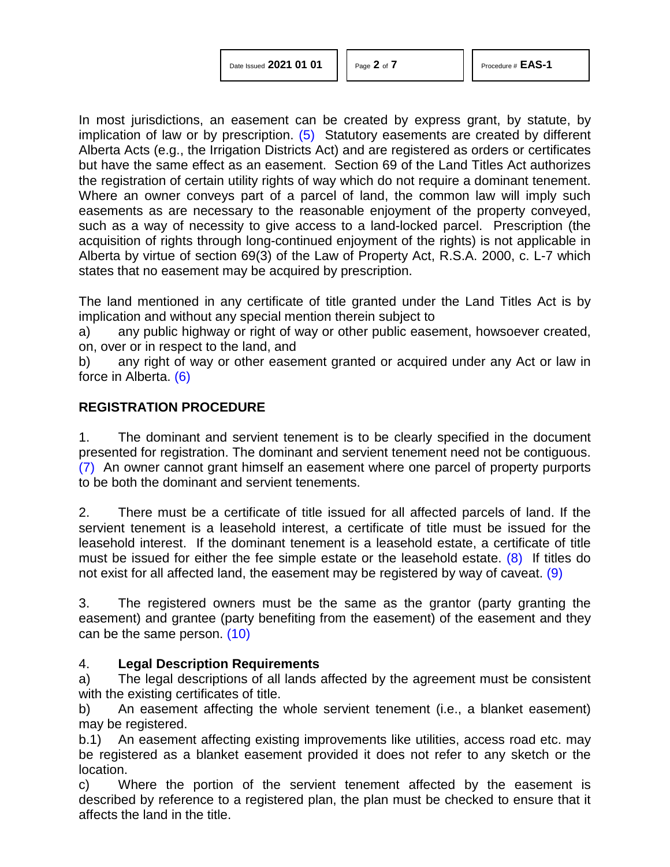<span id="page-1-0"></span>

| Date Issued 2021 01 01 |  |  |  |
|------------------------|--|--|--|
|------------------------|--|--|--|

In most jurisdictions, an easement can be created by express grant, by statute, by implication of law or by prescription.  $(5)$  Statutory easements are created by different Alberta Acts (e.g., the Irrigation Districts Act) and are registered as orders or certificates but have the same effect as an easement. Section 69 of the Land Titles Act authorizes the registration of certain utility rights of way which do not require a dominant tenement. Where an owner conveys part of a parcel of land, the common law will imply such easements as are necessary to the reasonable enjoyment of the property conveyed, such as a way of necessity to give access to a land-locked parcel. Prescription (the acquisition of rights through long-continued enjoyment of the rights) is not applicable in Alberta by virtue of section 69(3) of the Law of Property Act, R.S.A. 2000, c. L-7 which states that no easement may be acquired by prescription.

The land mentioned in any certificate of title granted under the Land Titles Act is by implication and without any special mention therein subject to

a) any public highway or right of way or other public easement, howsoever created, on, over or in respect to the land, and

<span id="page-1-1"></span>b) any right of way or other easement granted or acquired under any Act or law in force in Alberta. [\(6\)](#page-5-5)

## **REGISTRATION PROCEDURE**

<span id="page-1-2"></span>1. The dominant and servient tenement is to be clearly specified in the document presented for registration. The dominant and servient tenement need not be contiguous. [\(7\)](#page-5-6) An owner cannot grant himself an easement where one parcel of property purports to be both the dominant and servient tenements.

<span id="page-1-3"></span>2. There must be a certificate of title issued for all affected parcels of land. If the servient tenement is a leasehold interest, a certificate of title must be issued for the leasehold interest. If the dominant tenement is a leasehold estate, a certificate of title must be issued for either the fee simple estate or the leasehold estate.  $(8)$  If titles do not exist for all affected land, the easement may be registered by way of caveat. [\(9\)](#page-6-1)

<span id="page-1-5"></span><span id="page-1-4"></span>3. The registered owners must be the same as the grantor (party granting the easement) and grantee (party benefiting from the easement) of the easement and they can be the same person. [\(10\)](#page-6-2)

## 4. **Legal Description Requirements**

a) The legal descriptions of all lands affected by the agreement must be consistent with the existing certificates of title.

b) An easement affecting the whole servient tenement (i.e., a blanket easement) may be registered.

b.1) An easement affecting existing improvements like utilities, access road etc. may be registered as a blanket easement provided it does not refer to any sketch or the location.

c) Where the portion of the servient tenement affected by the easement is described by reference to a registered plan, the plan must be checked to ensure that it affects the land in the title.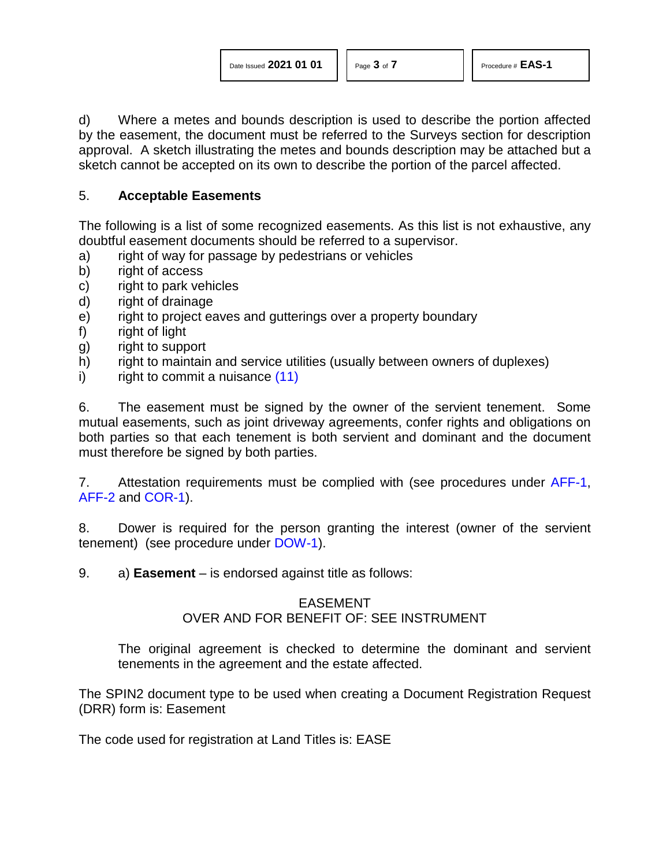d) Where a metes and bounds description is used to describe the portion affected by the easement, the document must be referred to the Surveys section for description approval. A sketch illustrating the metes and bounds description may be attached but a sketch cannot be accepted on its own to describe the portion of the parcel affected.

### 5. **Acceptable Easements**

The following is a list of some recognized easements. As this list is not exhaustive, any doubtful easement documents should be referred to a supervisor.

- a) right of way for passage by pedestrians or vehicles
- b) right of access
- c) right to park vehicles
- d) right of drainage
- e) right to project eaves and gutterings over a property boundary
- f) right of light
- g) right to support
- h) right to maintain and service utilities (usually between owners of duplexes)
- <span id="page-2-0"></span>i) right to commit a nuisance [\(11\)](#page-6-3)

6. The easement must be signed by the owner of the servient tenement. Some mutual easements, such as joint driveway agreements, confer rights and obligations on both parties so that each tenement is both servient and dominant and the document must therefore be signed by both parties.

7. Attestation requirements must be complied with (see procedures under [AFF-1,](http://www.servicealberta.ca/pdf/ltmanual/AFF-1.pdf) [AFF-2](http://www.servicealberta.ca/pdf/ltmanual/AFF-2.pdf) and [COR-1\)](http://www.servicealberta.ca/pdf/ltmanual/COR-1.pdf).

8. Dower is required for the person granting the interest (owner of the servient tenement) (see procedure under [DOW-1\)](http://www.servicealberta.ca/pdf/ltmanual/DOW-1.pdf).

9. a) **Easement** – is endorsed against title as follows:

#### EASEMENT

## OVER AND FOR BENEFIT OF: SEE INSTRUMENT

The original agreement is checked to determine the dominant and servient tenements in the agreement and the estate affected.

The SPIN2 document type to be used when creating a Document Registration Request (DRR) form is: Easement

The code used for registration at Land Titles is: EASE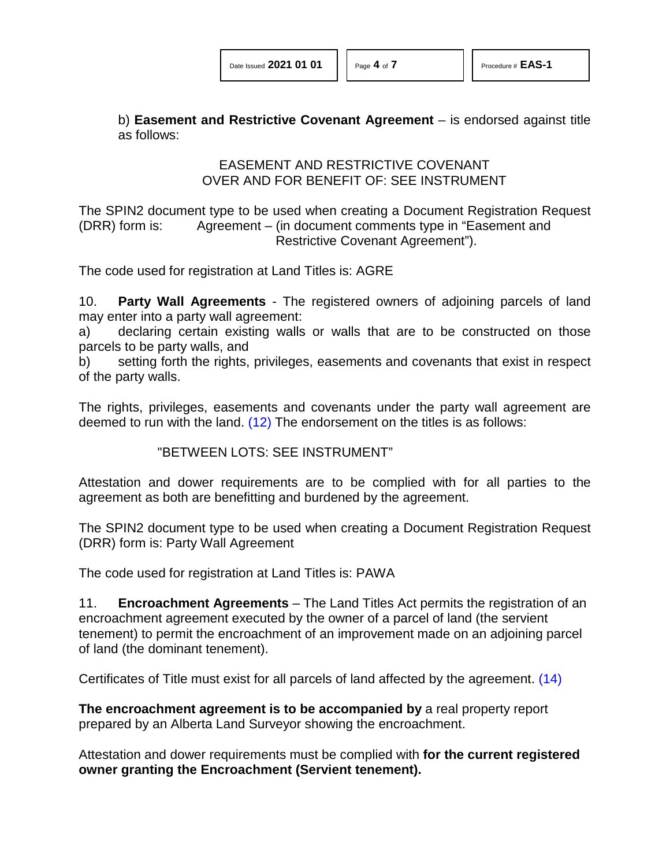b) **Easement and Restrictive Covenant Agreement** – is endorsed against title as follows:

> EASEMENT AND RESTRICTIVE COVENANT OVER AND FOR BENEFIT OF: SEE INSTRUMENT

The SPIN2 document type to be used when creating a Document Registration Request (DRR) form is: Agreement – (in document comments type in "Easement and Restrictive Covenant Agreement").

The code used for registration at Land Titles is: AGRE

10. **Party Wall Agreements** - The registered owners of adjoining parcels of land may enter into a party wall agreement:

a) declaring certain existing walls or walls that are to be constructed on those parcels to be party walls, and

b) setting forth the rights, privileges, easements and covenants that exist in respect of the party walls.

The rights, privileges, easements and covenants under the party wall agreement are deemed to run with the land. [\(12\)](#page-3-0) The endorsement on the titles is as follows:

<span id="page-3-1"></span><span id="page-3-0"></span>"BETWEEN LOTS: SEE INSTRUMENT"

Attestation and dower requirements are to be complied with for all parties to the agreement as both are benefitting and burdened by the agreement.

The SPIN2 document type to be used when creating a Document Registration Request (DRR) form is: Party Wall Agreement

The code used for registration at Land Titles is: PAWA

11. **Encroachment Agreements** – The Land Titles Act permits the registration of an encroachment agreement executed by the owner of a parcel of land (the servient tenement) to permit the encroachment of an improvement made on an adjoining parcel of land (the dominant tenement).

Certificates of Title must exist for all parcels of land affected by the agreement. [\(14\)](#page-6-4)

**The encroachment agreement is to be accompanied by** a real property report prepared by an Alberta Land Surveyor showing the encroachment.

Attestation and dower requirements must be complied with **for the current registered owner granting the Encroachment (Servient tenement).**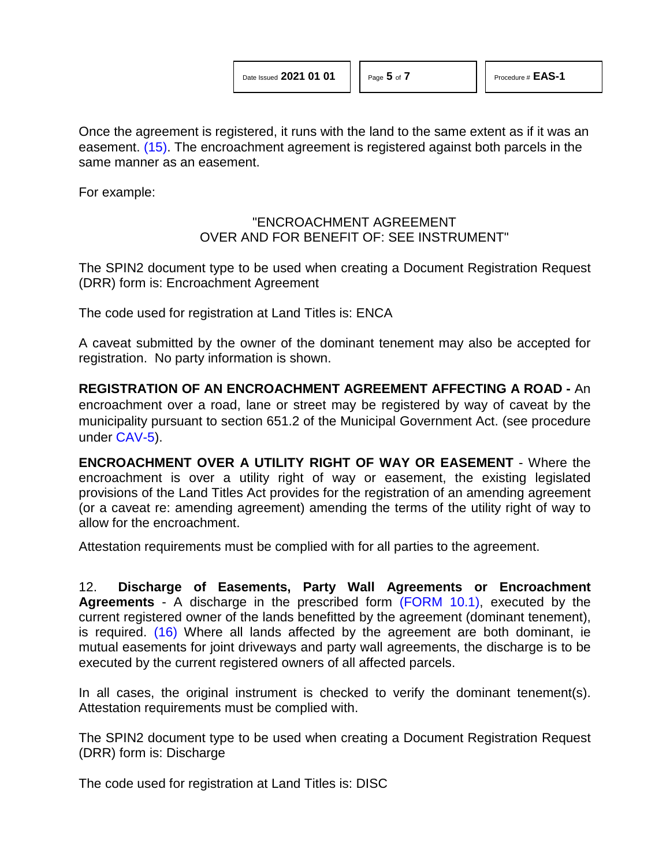<span id="page-4-0"></span>Once the agreement is registered, it runs with the land to the same extent as if it was an easement. [\(15\).](#page-6-5) The encroachment agreement is registered against both parcels in the same manner as an easement.

For example:

### "ENCROACHMENT AGREEMENT OVER AND FOR BENEFIT OF: SEE INSTRUMENT"

The SPIN2 document type to be used when creating a Document Registration Request (DRR) form is: Encroachment Agreement

The code used for registration at Land Titles is: ENCA

A caveat submitted by the owner of the dominant tenement may also be accepted for registration. No party information is shown.

**REGISTRATION OF AN ENCROACHMENT AGREEMENT AFFECTING A ROAD -** An encroachment over a road, lane or street may be registered by way of caveat by the municipality pursuant to section 651.2 of the Municipal Government Act. (see procedure under [CAV-5\)](http://www.servicealberta.ca/pdf/ltmanual/CAV-5.pdf).

**ENCROACHMENT OVER A UTILITY RIGHT OF WAY OR EASEMENT** - Where the encroachment is over a utility right of way or easement, the existing legislated provisions of the Land Titles Act provides for the registration of an amending agreement (or a caveat re: amending agreement) amending the terms of the utility right of way to allow for the encroachment.

Attestation requirements must be complied with for all parties to the agreement.

<span id="page-4-1"></span>12. **Discharge of Easements, Party Wall Agreements or Encroachment Agreements** - A discharge in the prescribed form [\(FORM 10.1\),](http://www.servicealberta.ca/pdf/ltmanual/FORM10.1.pdf) executed by the current registered owner of the lands benefitted by the agreement (dominant tenement), is required. [\(16\)](#page-6-6) Where all lands affected by the agreement are both dominant, ie mutual easements for joint driveways and party wall agreements, the discharge is to be executed by the current registered owners of all affected parcels.

In all cases, the original instrument is checked to verify the dominant tenement(s). Attestation requirements must be complied with.

The SPIN2 document type to be used when creating a Document Registration Request (DRR) form is: Discharge

The code used for registration at Land Titles is: DISC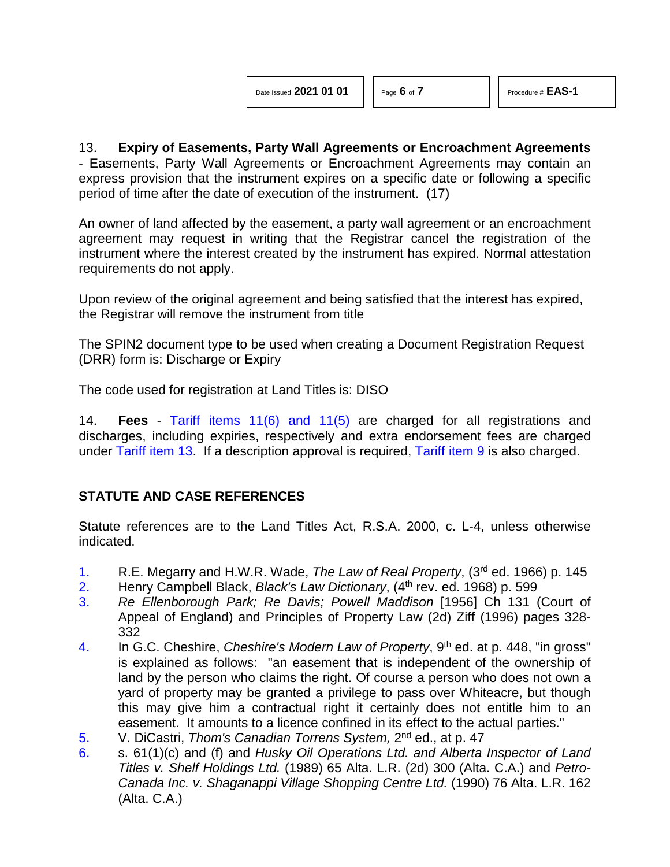<span id="page-5-7"></span>

| Date Issued 2021 01 01 |  |  |
|------------------------|--|--|
|                        |  |  |

13. **Expiry of Easements, Party Wall Agreements or Encroachment Agreements** - Easements, Party Wall Agreements or Encroachment Agreements may contain an express provision that the instrument expires on a specific date or following a specific period of time after the date of execution of the instrument. [\(17\)](#page-6-7)

An owner of land affected by the easement, a party wall agreement or an encroachment agreement may request in writing that the Registrar cancel the registration of the instrument where the interest created by the instrument has expired. Normal attestation requirements do not apply.

Upon review of the original agreement and being satisfied that the interest has expired, the Registrar will remove the instrument from title

The SPIN2 document type to be used when creating a Document Registration Request (DRR) form is: Discharge or Expiry

The code used for registration at Land Titles is: DISO

14. **Fees** - [Tariff items 11\(6\) and 11\(5\)](http://www.servicealberta.ca/pdf/ltmanual/APPENDIXI.pdf) are charged for all registrations and discharges, including expiries, respectively and extra endorsement fees are charged under [Tariff item 13.](http://www.servicealberta.ca/pdf/ltmanual/APPENDIXI.pdf) If a description approval is required, [Tariff item 9](http://www.servicealberta.ca/pdf/ltmanual/APPENDIXI.pdf) is also charged.

## **STATUTE AND CASE REFERENCES**

Statute references are to the Land Titles Act, R.S.A. 2000, c. L-4, unless otherwise indicated.

- <span id="page-5-0"></span>[1.](#page-0-0) R.E. Megarry and H.W.R. Wade, *The Law of Real Property*, (3rd ed. 1966) p. 145
- <span id="page-5-1"></span>[2.](#page-0-1) Henry Campbell Black, *Black's Law Dictionary*, (4th rev. ed. 1968) p. 599
- <span id="page-5-2"></span>[3.](#page-0-2) *Re Ellenborough Park; Re Davis; Powell Maddison* [1956] Ch 131 (Court of Appeal of England) and Principles of Property Law (2d) Ziff (1996) pages 328- 332
- <span id="page-5-3"></span>[4.](#page-0-3) In G.C. Cheshire, *Cheshire's Modern Law of Property*, 9th ed. at p. 448, "in gross" is explained as follows: "an easement that is independent of the ownership of land by the person who claims the right. Of course a person who does not own a yard of property may be granted a privilege to pass over Whiteacre, but though this may give him a contractual right it certainly does not entitle him to an easement. It amounts to a licence confined in its effect to the actual parties."
- <span id="page-5-4"></span>[5.](#page-1-0) V. DiCastri, *Thom's Canadian Torrens System,* 2nd ed., at p. 47
- <span id="page-5-6"></span><span id="page-5-5"></span>[6.](#page-1-1) s. 61(1)(c) and (f) and *Husky Oil Operations Ltd. and Alberta Inspector of Land Titles v. Shelf Holdings Ltd.* (1989) 65 Alta. L.R. (2d) 300 (Alta. C.A.) and *Petro-Canada Inc. v. Shaganappi Village Shopping Centre Ltd.* (1990) 76 Alta. L.R. 162 (Alta. C.A.)